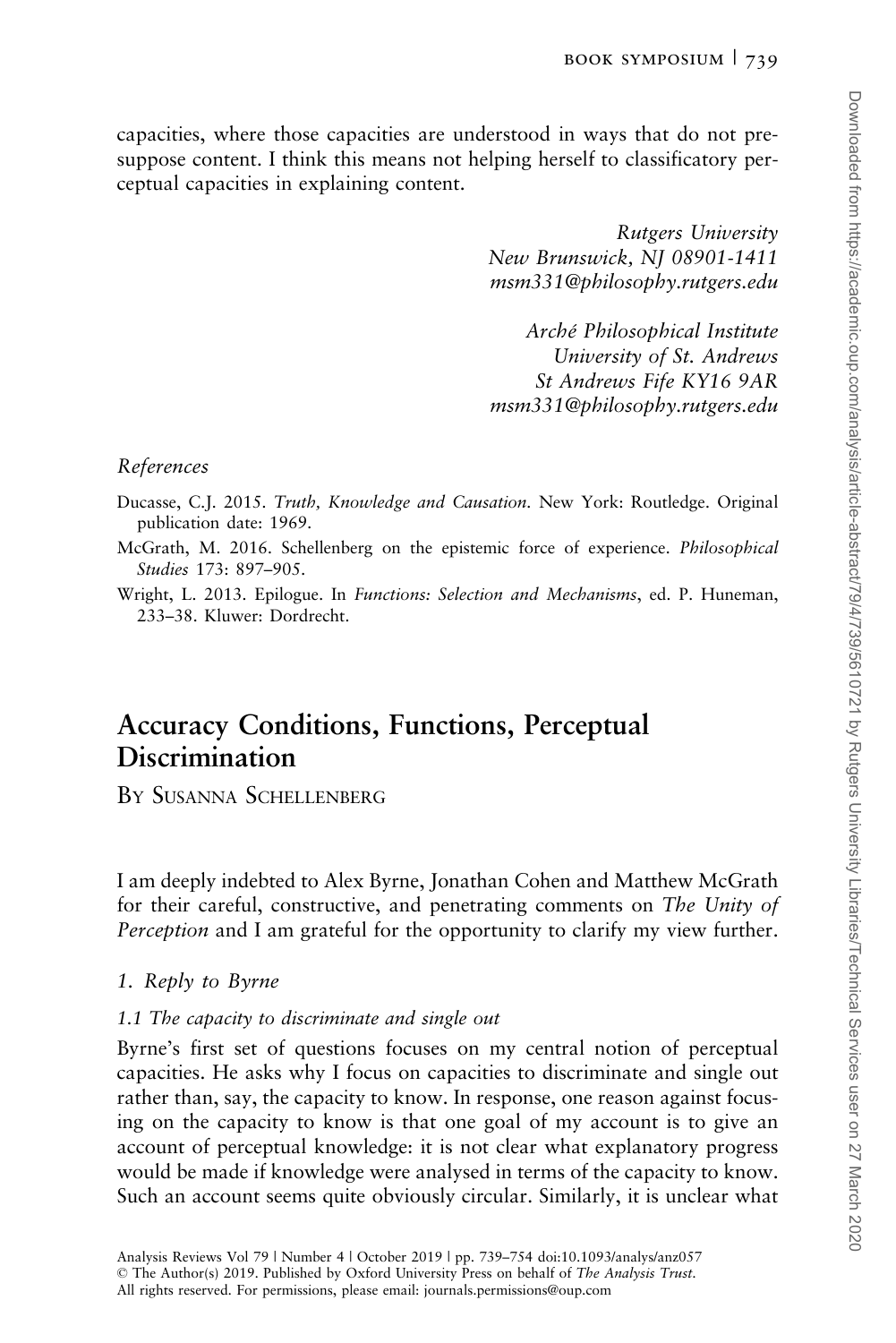capacities, where those capacities are understood in ways that do not presuppose content. I think this means not helping herself to classificatory perceptual capacities in explaining content.

> Rutgers University New Brunswick, NJ 08901-1411 msm331@philosophy.rutgers.edu

> Arché Philosophical Institute University of St. Andrews St Andrews Fife KY16 9AR msm331@philosophy.rutgers.edu

# References

- Ducasse, C.J. 2015. Truth, Knowledge and Causation. New York: Routledge. Original publication date: 1969.
- McGrath, M. 2016. Schellenberg on the epistemic force of experience. Philosophical Studies 173: 897–905.
- Wright, L. 2013. Epilogue. In Functions: Selection and Mechanisms, ed. P. Huneman, 233–38. Kluwer: Dordrecht.

# Accuracy Conditions, Functions, Perceptual **Discrimination**

BY SUSANNA SCHELLENBERG

I am deeply indebted to Alex Byrne, Jonathan Cohen and Matthew McGrath for their careful, constructive, and penetrating comments on The Unity of Perception and I am grateful for the opportunity to clarify my view further.

# 1. Reply to Byrne

# 1.1 The capacity to discriminate and single out

Byrne's first set of questions focuses on my central notion of perceptual capacities. He asks why I focus on capacities to discriminate and single out rather than, say, the capacity to know. In response, one reason against focusing on the capacity to know is that one goal of my account is to give an account of perceptual knowledge: it is not clear what explanatory progress would be made if knowledge were analysed in terms of the capacity to know. Such an account seems quite obviously circular. Similarly, it is unclear what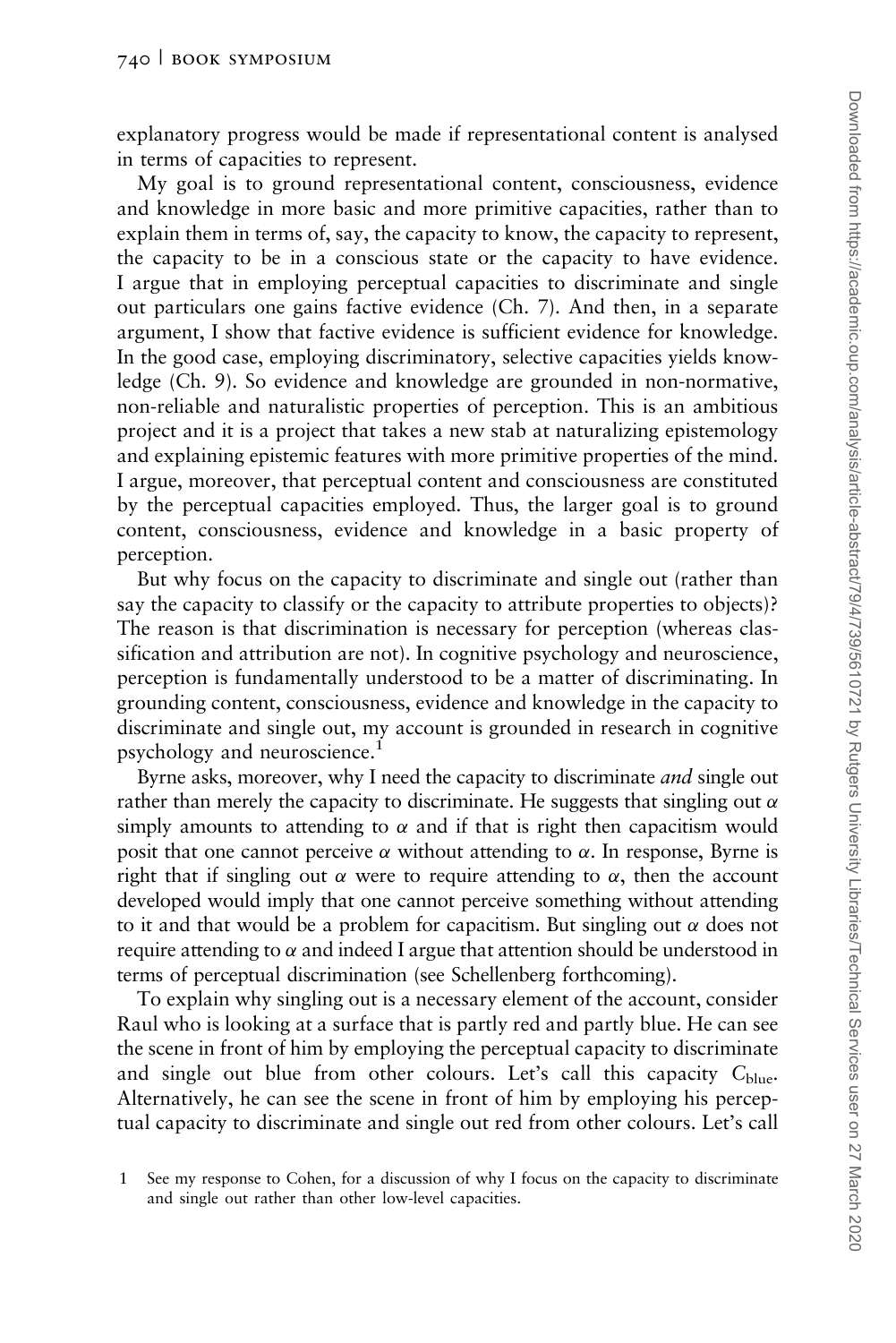explanatory progress would be made if representational content is analysed in terms of capacities to represent.

My goal is to ground representational content, consciousness, evidence and knowledge in more basic and more primitive capacities, rather than to explain them in terms of, say, the capacity to know, the capacity to represent, the capacity to be in a conscious state or the capacity to have evidence. I argue that in employing perceptual capacities to discriminate and single out particulars one gains factive evidence (Ch. 7). And then, in a separate argument, I show that factive evidence is sufficient evidence for knowledge. In the good case, employing discriminatory, selective capacities yields knowledge (Ch. 9). So evidence and knowledge are grounded in non-normative, non-reliable and naturalistic properties of perception. This is an ambitious project and it is a project that takes a new stab at naturalizing epistemology and explaining epistemic features with more primitive properties of the mind. I argue, moreover, that perceptual content and consciousness are constituted by the perceptual capacities employed. Thus, the larger goal is to ground content, consciousness, evidence and knowledge in a basic property of perception.

But why focus on the capacity to discriminate and single out (rather than say the capacity to classify or the capacity to attribute properties to objects)? The reason is that discrimination is necessary for perception (whereas classification and attribution are not). In cognitive psychology and neuroscience, perception is fundamentally understood to be a matter of discriminating. In grounding content, consciousness, evidence and knowledge in the capacity to discriminate and single out, my account is grounded in research in cognitive psychology and neuroscience.<sup>1</sup>

Byrne asks, moreover, why I need the capacity to discriminate *and* single out rather than merely the capacity to discriminate. He suggests that singling out  $\alpha$ simply amounts to attending to  $\alpha$  and if that is right then capacitism would posit that one cannot perceive  $\alpha$  without attending to  $\alpha$ . In response, Byrne is right that if singling out  $\alpha$  were to require attending to  $\alpha$ , then the account developed would imply that one cannot perceive something without attending to it and that would be a problem for capacitism. But singling out  $\alpha$  does not require attending to  $\alpha$  and indeed I argue that attention should be understood in terms of perceptual discrimination (see [Schellenberg forthcoming\)](#page-15-0).

To explain why singling out is a necessary element of the account, consider Raul who is looking at a surface that is partly red and partly blue. He can see the scene in front of him by employing the perceptual capacity to discriminate and single out blue from other colours. Let's call this capacity  $C_{blue}$ . Alternatively, he can see the scene in front of him by employing his perceptual capacity to discriminate and single out red from other colours. Let's call

<sup>1</sup> See my response to Cohen, for a discussion of why I focus on the capacity to discriminate and single out rather than other low-level capacities.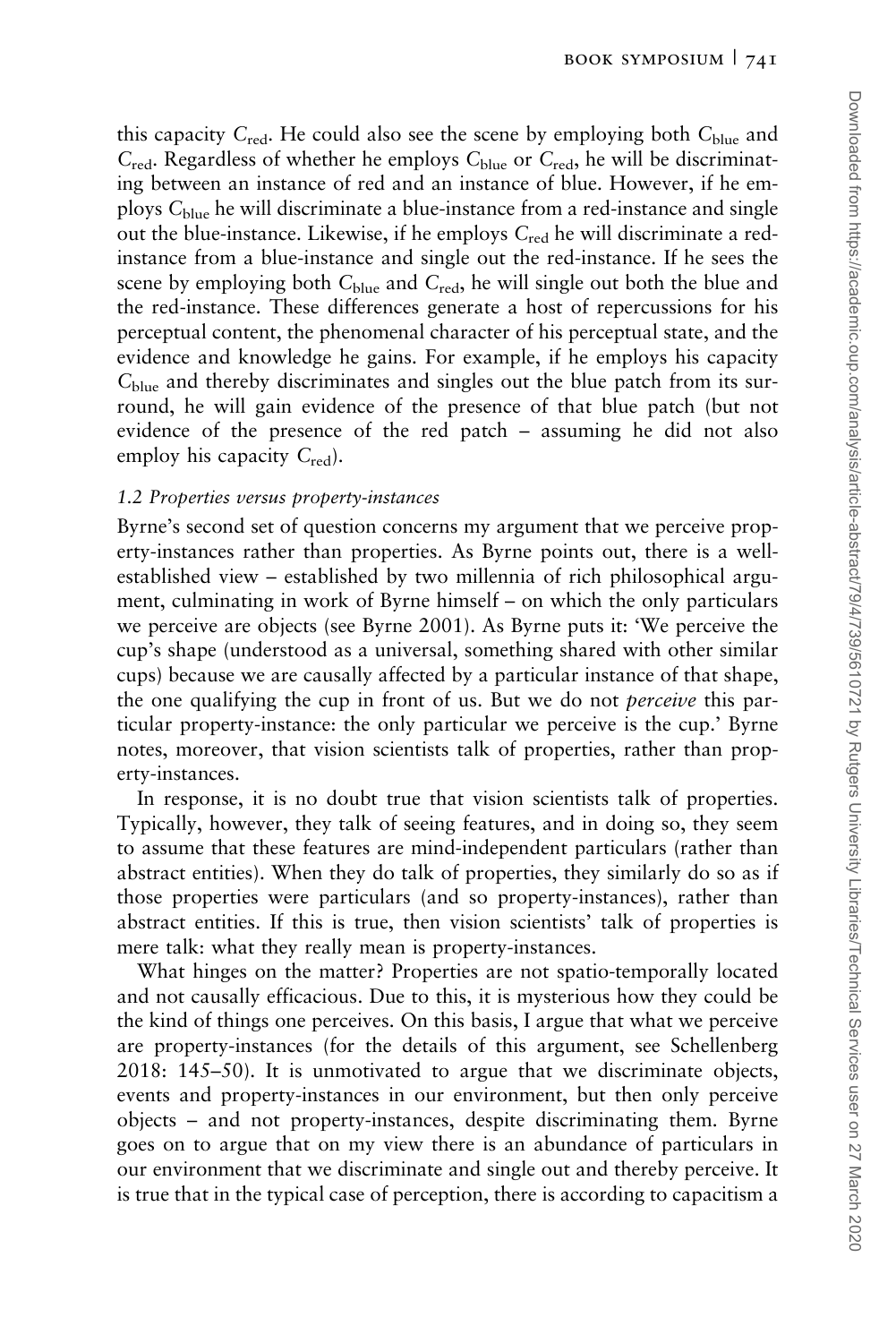this capacity  $C_{\text{red}}$ . He could also see the scene by employing both  $C_{\text{blue}}$  and  $C_{\text{red}}$ . Regardless of whether he employs  $C_{\text{blue}}$  or  $C_{\text{red}}$ , he will be discriminating between an instance of red and an instance of blue. However, if he employs  $C_{blue}$  he will discriminate a blue-instance from a red-instance and single out the blue-instance. Likewise, if he employs  $C_{\text{red}}$  he will discriminate a redinstance from a blue-instance and single out the red-instance. If he sees the scene by employing both  $C_{blue}$  and  $C_{red}$ , he will single out both the blue and the red-instance. These differences generate a host of repercussions for his perceptual content, the phenomenal character of his perceptual state, and the evidence and knowledge he gains. For example, if he employs his capacity  $C_{blue}$  and thereby discriminates and singles out the blue patch from its surround, he will gain evidence of the presence of that blue patch (but not evidence of the presence of the red patch – assuming he did not also employ his capacity  $C_{\text{red}}$ ).

# 1.2 Properties versus property-instances

Byrne's second set of question concerns my argument that we perceive property-instances rather than properties. As Byrne points out, there is a wellestablished view – established by two millennia of rich philosophical argument, culminating in work of Byrne himself – on which the only particulars we perceive are objects (see [Byrne 2001\)](#page-15-0). As Byrne puts it: 'We perceive the cup's shape (understood as a universal, something shared with other similar cups) because we are causally affected by a particular instance of that shape, the one qualifying the cup in front of us. But we do not *perceive* this particular property-instance: the only particular we perceive is the cup.' Byrne notes, moreover, that vision scientists talk of properties, rather than property-instances.

In response, it is no doubt true that vision scientists talk of properties. Typically, however, they talk of seeing features, and in doing so, they seem to assume that these features are mind-independent particulars (rather than abstract entities). When they do talk of properties, they similarly do so as if those properties were particulars (and so property-instances), rather than abstract entities. If this is true, then vision scientists' talk of properties is mere talk: what they really mean is property-instances.

What hinges on the matter? Properties are not spatio-temporally located and not causally efficacious. Due to this, it is mysterious how they could be the kind of things one perceives. On this basis, I argue that what we perceive are property-instances (for the details of this argument, see [Schellenberg](#page-15-0) [2018:](#page-15-0) 145–50). It is unmotivated to argue that we discriminate objects, events and property-instances in our environment, but then only perceive objects – and not property-instances, despite discriminating them. Byrne goes on to argue that on my view there is an abundance of particulars in our environment that we discriminate and single out and thereby perceive. It is true that in the typical case of perception, there is according to capacitism a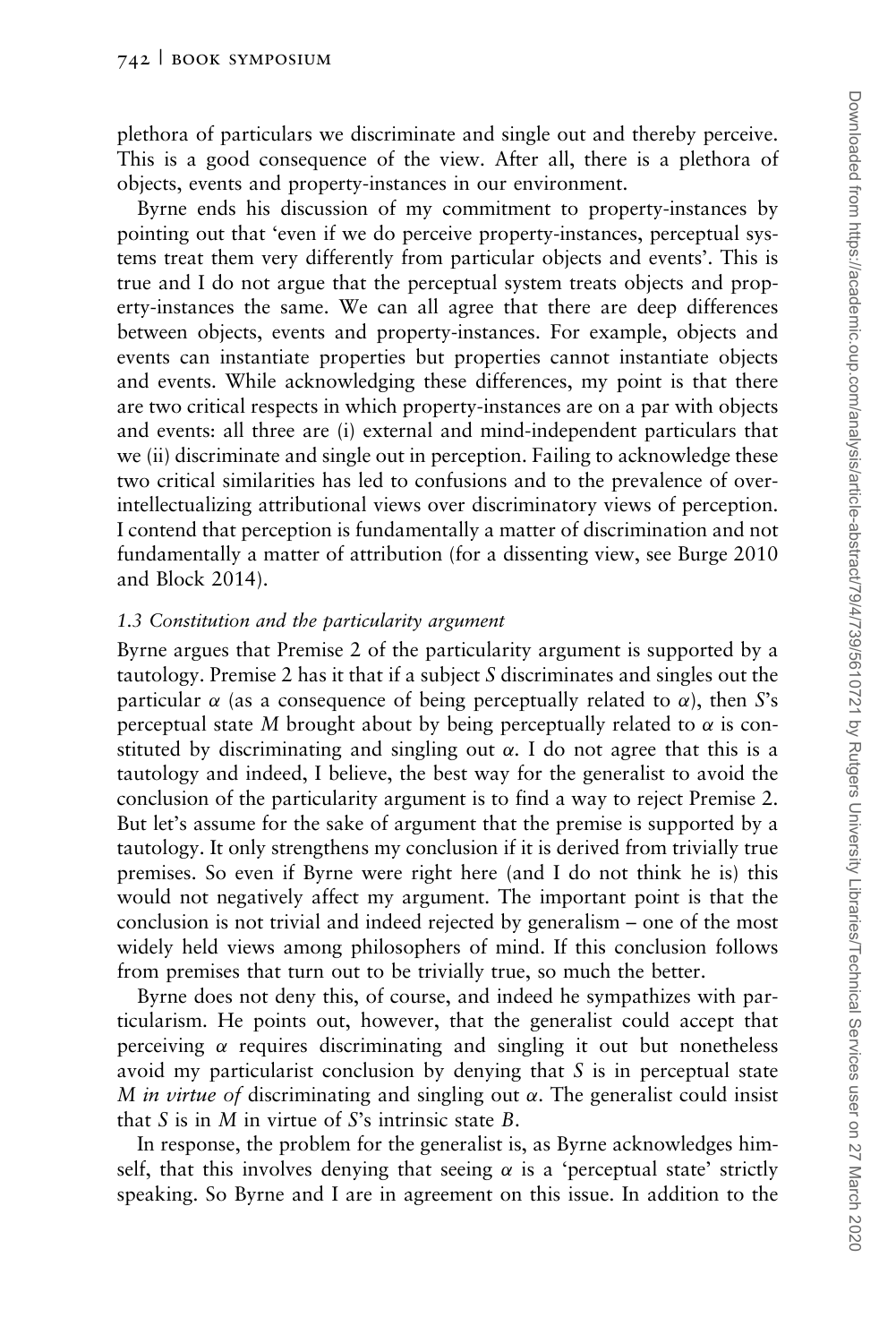plethora of particulars we discriminate and single out and thereby perceive. This is a good consequence of the view. After all, there is a plethora of objects, events and property-instances in our environment.

Byrne ends his discussion of my commitment to property-instances by pointing out that 'even if we do perceive property-instances, perceptual systems treat them very differently from particular objects and events'. This is true and I do not argue that the perceptual system treats objects and property-instances the same. We can all agree that there are deep differences between objects, events and property-instances. For example, objects and events can instantiate properties but properties cannot instantiate objects and events. While acknowledging these differences, my point is that there are two critical respects in which property-instances are on a par with objects and events: all three are (i) external and mind-independent particulars that we (ii) discriminate and single out in perception. Failing to acknowledge these two critical similarities has led to confusions and to the prevalence of overintellectualizing attributional views over discriminatory views of perception. I contend that perception is fundamentally a matter of discrimination and not fundamentally a matter of attribution (for a dissenting view, see [Burge 2010](#page-15-0) and [Block 2014\)](#page-15-0).

#### 1.3 Constitution and the particularity argument

Byrne argues that Premise 2 of the particularity argument is supported by a tautology. Premise 2 has it that if a subject S discriminates and singles out the particular  $\alpha$  (as a consequence of being perceptually related to  $\alpha$ ), then S's perceptual state M brought about by being perceptually related to  $\alpha$  is constituted by discriminating and singling out  $\alpha$ . I do not agree that this is a tautology and indeed, I believe, the best way for the generalist to avoid the conclusion of the particularity argument is to find a way to reject Premise 2. But let's assume for the sake of argument that the premise is supported by a tautology. It only strengthens my conclusion if it is derived from trivially true premises. So even if Byrne were right here (and I do not think he is) this would not negatively affect my argument. The important point is that the conclusion is not trivial and indeed rejected by generalism – one of the most widely held views among philosophers of mind. If this conclusion follows from premises that turn out to be trivially true, so much the better.

Byrne does not deny this, of course, and indeed he sympathizes with particularism. He points out, however, that the generalist could accept that perceiving  $\alpha$  requires discriminating and singling it out but nonetheless avoid my particularist conclusion by denying that S is in perceptual state *M in virtue of* discriminating and singling out  $\alpha$ . The generalist could insist that  $S$  is in  $M$  in virtue of  $S$ 's intrinsic state  $B$ .

In response, the problem for the generalist is, as Byrne acknowledges himself, that this involves denying that seeing  $\alpha$  is a 'perceptual state' strictly speaking. So Byrne and I are in agreement on this issue. In addition to the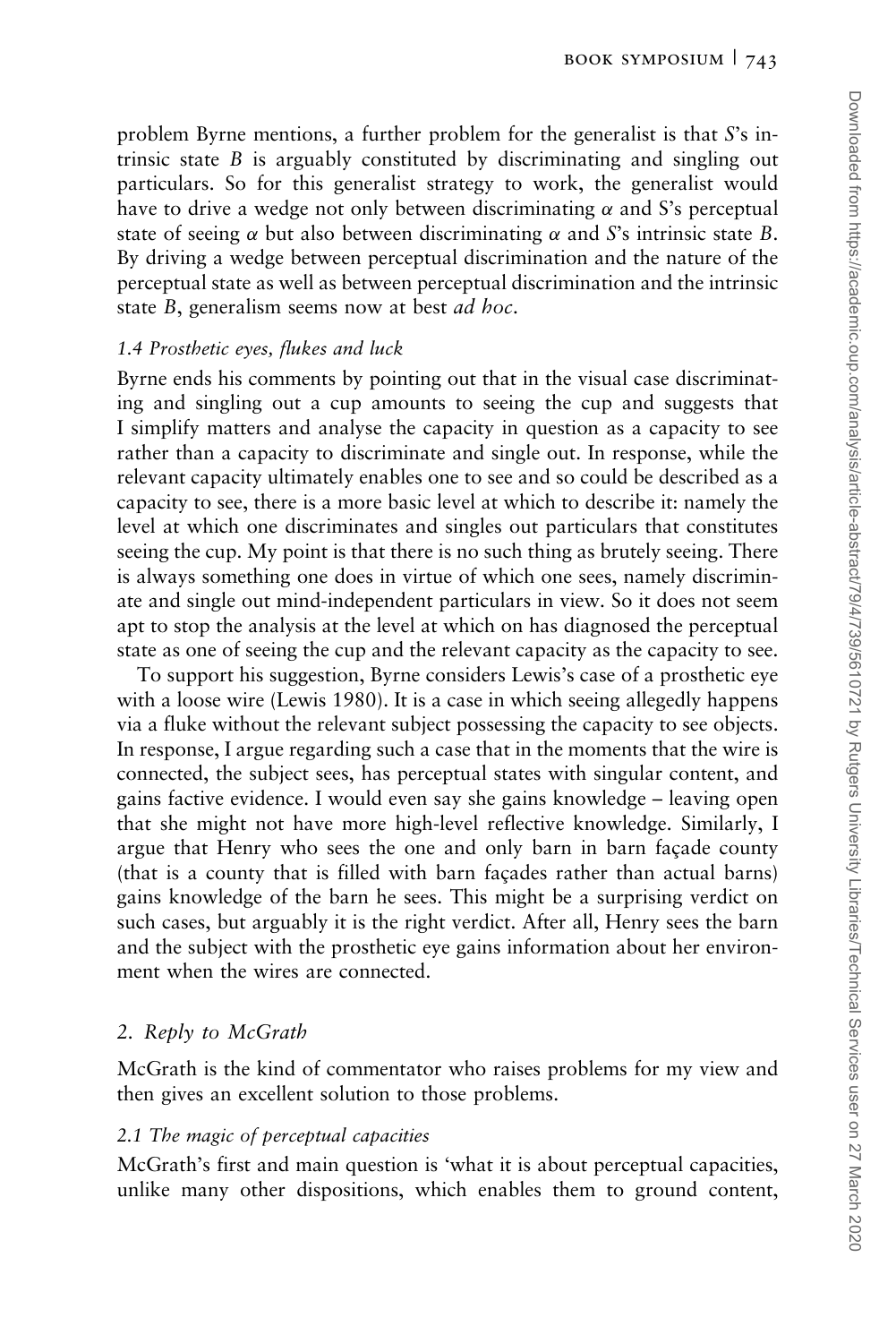problem Byrne mentions, a further problem for the generalist is that S's intrinsic state B is arguably constituted by discriminating and singling out particulars. So for this generalist strategy to work, the generalist would have to drive a wedge not only between discriminating  $\alpha$  and S's perceptual state of seeing  $\alpha$  but also between discriminating  $\alpha$  and S's intrinsic state B. By driving a wedge between perceptual discrimination and the nature of the perceptual state as well as between perceptual discrimination and the intrinsic state B, generalism seems now at best *ad hoc*.

#### 1.4 Prosthetic eyes, flukes and luck

Byrne ends his comments by pointing out that in the visual case discriminating and singling out a cup amounts to seeing the cup and suggests that I simplify matters and analyse the capacity in question as a capacity to see rather than a capacity to discriminate and single out. In response, while the relevant capacity ultimately enables one to see and so could be described as a capacity to see, there is a more basic level at which to describe it: namely the level at which one discriminates and singles out particulars that constitutes seeing the cup. My point is that there is no such thing as brutely seeing. There is always something one does in virtue of which one sees, namely discriminate and single out mind-independent particulars in view. So it does not seem apt to stop the analysis at the level at which on has diagnosed the perceptual state as one of seeing the cup and the relevant capacity as the capacity to see.

To support his suggestion, Byrne considers Lewis's case of a prosthetic eye with a loose wire ([Lewis 1980\)](#page-15-0). It is a case in which seeing allegedly happens via a fluke without the relevant subject possessing the capacity to see objects. In response, I argue regarding such a case that in the moments that the wire is connected, the subject sees, has perceptual states with singular content, and gains factive evidence. I would even say she gains knowledge – leaving open that she might not have more high-level reflective knowledge. Similarly, I argue that Henry who sees the one and only barn in barn facade county (that is a county that is filled with barn facades rather than actual barns) gains knowledge of the barn he sees. This might be a surprising verdict on such cases, but arguably it is the right verdict. After all, Henry sees the barn and the subject with the prosthetic eye gains information about her environment when the wires are connected.

# 2. Reply to McGrath

McGrath is the kind of commentator who raises problems for my view and then gives an excellent solution to those problems.

# 2.1 The magic of perceptual capacities

McGrath's first and main question is 'what it is about perceptual capacities, unlike many other dispositions, which enables them to ground content,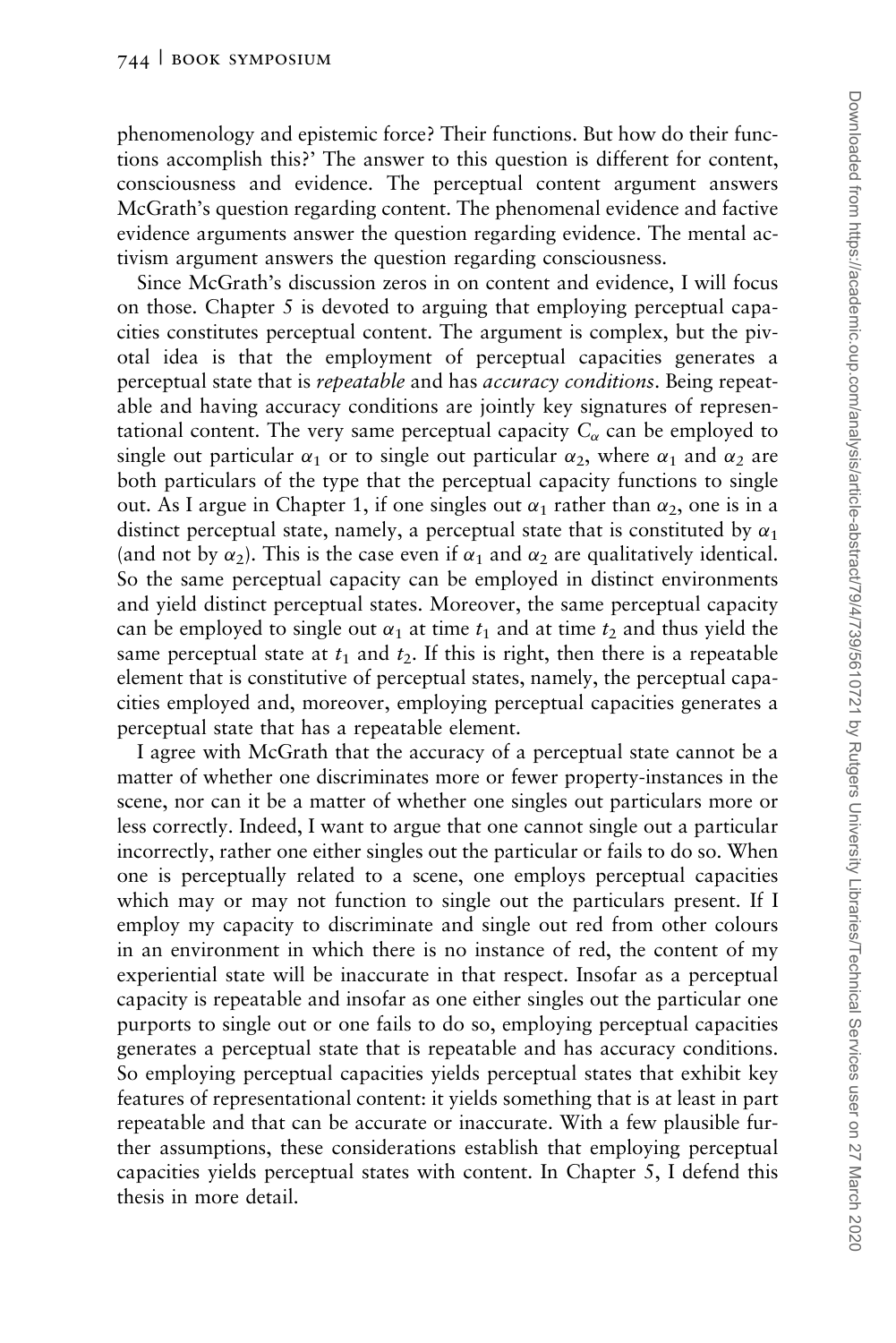phenomenology and epistemic force? Their functions. But how do their functions accomplish this?' The answer to this question is different for content, consciousness and evidence. The perceptual content argument answers McGrath's question regarding content. The phenomenal evidence and factive evidence arguments answer the question regarding evidence. The mental activism argument answers the question regarding consciousness.

Since McGrath's discussion zeros in on content and evidence, I will focus on those. Chapter 5 is devoted to arguing that employing perceptual capacities constitutes perceptual content. The argument is complex, but the pivotal idea is that the employment of perceptual capacities generates a perceptual state that is repeatable and has accuracy conditions. Being repeatable and having accuracy conditions are jointly key signatures of representational content. The very same perceptual capacity  $C_\alpha$  can be employed to single out particular  $\alpha_1$  or to single out particular  $\alpha_2$ , where  $\alpha_1$  and  $\alpha_2$  are both particulars of the type that the perceptual capacity functions to single out. As I argue in Chapter 1, if one singles out  $\alpha_1$  rather than  $\alpha_2$ , one is in a distinct perceptual state, namely, a perceptual state that is constituted by  $\alpha_1$ (and not by  $\alpha_2$ ). This is the case even if  $\alpha_1$  and  $\alpha_2$  are qualitatively identical. So the same perceptual capacity can be employed in distinct environments and yield distinct perceptual states. Moreover, the same perceptual capacity can be employed to single out  $\alpha_1$  at time  $t_1$  and at time  $t_2$  and thus yield the same perceptual state at  $t_1$  and  $t_2$ . If this is right, then there is a repeatable element that is constitutive of perceptual states, namely, the perceptual capacities employed and, moreover, employing perceptual capacities generates a perceptual state that has a repeatable element.

I agree with McGrath that the accuracy of a perceptual state cannot be a matter of whether one discriminates more or fewer property-instances in the scene, nor can it be a matter of whether one singles out particulars more or less correctly. Indeed, I want to argue that one cannot single out a particular incorrectly, rather one either singles out the particular or fails to do so. When one is perceptually related to a scene, one employs perceptual capacities which may or may not function to single out the particulars present. If I employ my capacity to discriminate and single out red from other colours in an environment in which there is no instance of red, the content of my experiential state will be inaccurate in that respect. Insofar as a perceptual capacity is repeatable and insofar as one either singles out the particular one purports to single out or one fails to do so, employing perceptual capacities generates a perceptual state that is repeatable and has accuracy conditions. So employing perceptual capacities yields perceptual states that exhibit key features of representational content: it yields something that is at least in part repeatable and that can be accurate or inaccurate. With a few plausible further assumptions, these considerations establish that employing perceptual capacities yields perceptual states with content. In Chapter 5, I defend this thesis in more detail.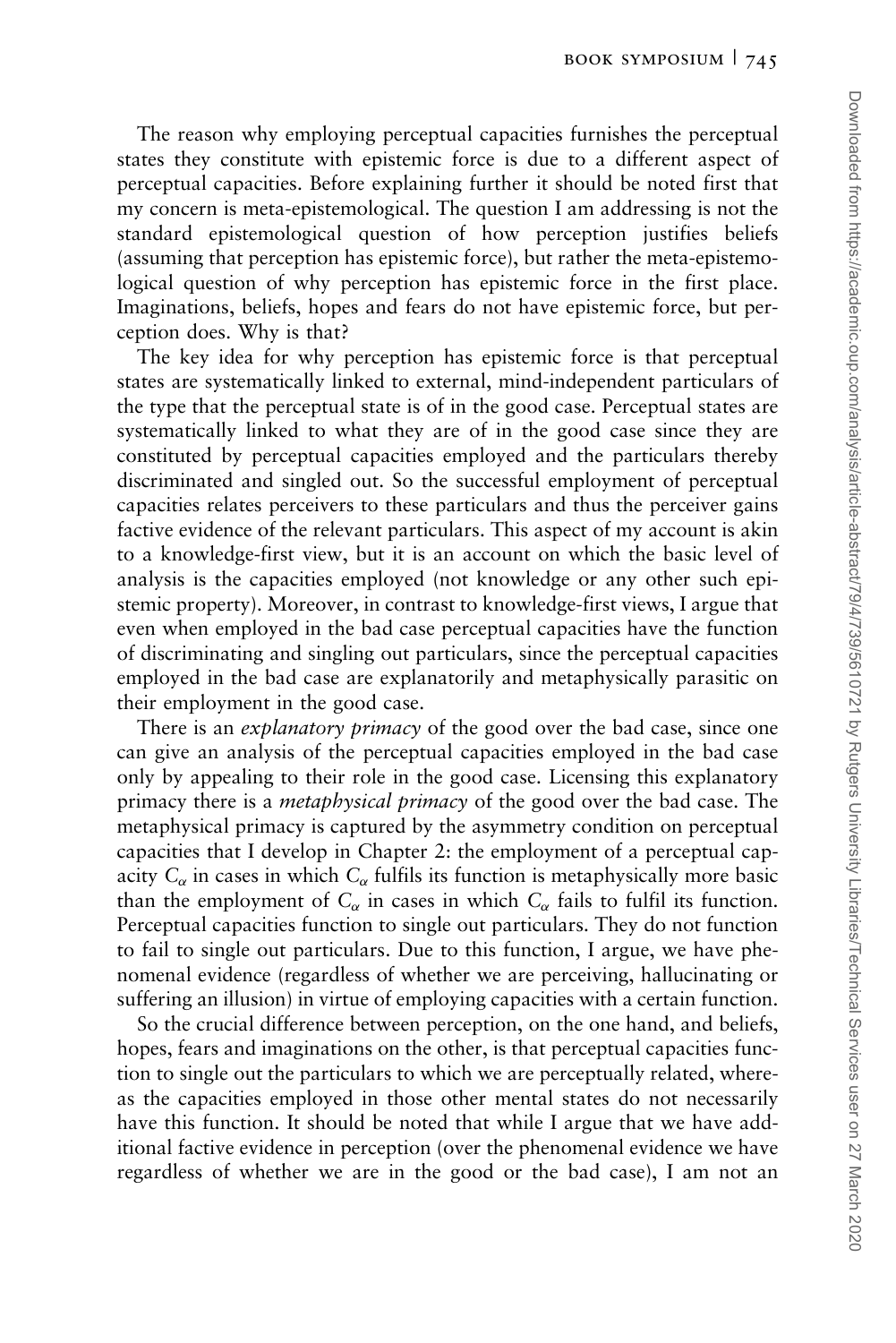The reason why employing perceptual capacities furnishes the perceptual states they constitute with epistemic force is due to a different aspect of perceptual capacities. Before explaining further it should be noted first that my concern is meta-epistemological. The question I am addressing is not the standard epistemological question of how perception justifies beliefs (assuming that perception has epistemic force), but rather the meta-epistemological question of why perception has epistemic force in the first place. Imaginations, beliefs, hopes and fears do not have epistemic force, but perception does. Why is that?

The key idea for why perception has epistemic force is that perceptual states are systematically linked to external, mind-independent particulars of the type that the perceptual state is of in the good case. Perceptual states are systematically linked to what they are of in the good case since they are constituted by perceptual capacities employed and the particulars thereby discriminated and singled out. So the successful employment of perceptual capacities relates perceivers to these particulars and thus the perceiver gains factive evidence of the relevant particulars. This aspect of my account is akin to a knowledge-first view, but it is an account on which the basic level of analysis is the capacities employed (not knowledge or any other such epistemic property). Moreover, in contrast to knowledge-first views, I argue that even when employed in the bad case perceptual capacities have the function of discriminating and singling out particulars, since the perceptual capacities employed in the bad case are explanatorily and metaphysically parasitic on their employment in the good case.

There is an *explanatory primacy* of the good over the bad case, since one can give an analysis of the perceptual capacities employed in the bad case only by appealing to their role in the good case. Licensing this explanatory primacy there is a *metaphysical primacy* of the good over the bad case. The metaphysical primacy is captured by the asymmetry condition on perceptual capacities that I develop in Chapter 2: the employment of a perceptual capacity  $C_{\alpha}$  in cases in which  $C_{\alpha}$  fulfils its function is metaphysically more basic than the employment of  $C_{\alpha}$  in cases in which  $C_{\alpha}$  fails to fulfil its function. Perceptual capacities function to single out particulars. They do not function to fail to single out particulars. Due to this function, I argue, we have phenomenal evidence (regardless of whether we are perceiving, hallucinating or suffering an illusion) in virtue of employing capacities with a certain function.

So the crucial difference between perception, on the one hand, and beliefs, hopes, fears and imaginations on the other, is that perceptual capacities function to single out the particulars to which we are perceptually related, whereas the capacities employed in those other mental states do not necessarily have this function. It should be noted that while I argue that we have additional factive evidence in perception (over the phenomenal evidence we have regardless of whether we are in the good or the bad case), I am not an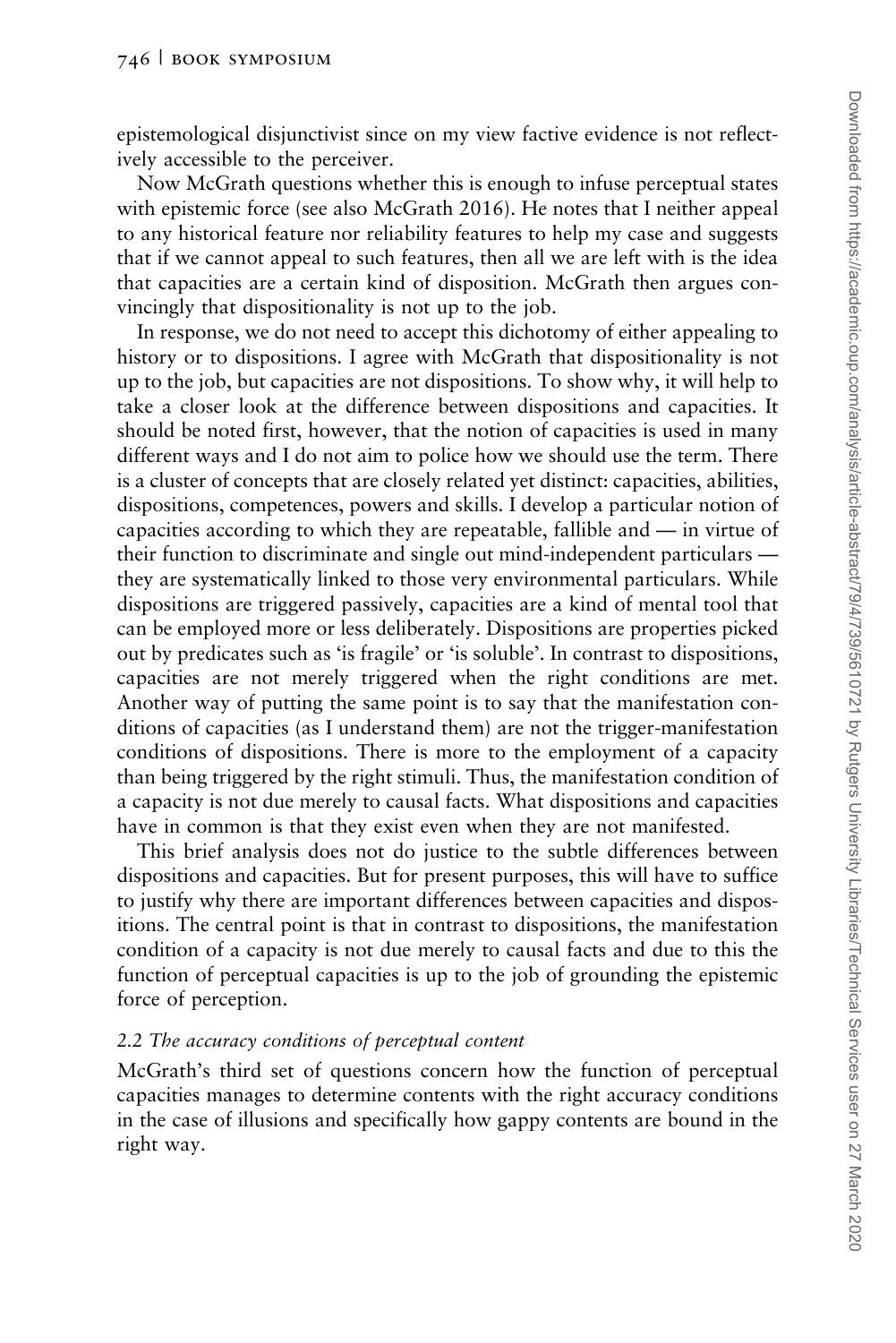epistemological disjunctivist since on my view factive evidence is not reflectively accessible to the perceiver.

Now McGrath questions whether this is enough to infuse perceptual states with epistemic force (see also [McGrath 2016\)](#page-15-0). He notes that I neither appeal to any historical feature nor reliability features to help my case and suggests that if we cannot appeal to such features, then all we are left with is the idea that capacities are a certain kind of disposition. McGrath then argues convincingly that dispositionality is not up to the job.

In response, we do not need to accept this dichotomy of either appealing to history or to dispositions. I agree with McGrath that dispositionality is not up to the job, but capacities are not dispositions. To show why, it will help to take a closer look at the difference between dispositions and capacities. It should be noted first, however, that the notion of capacities is used in many different ways and I do not aim to police how we should use the term. There is a cluster of concepts that are closely related yet distinct: capacities, abilities, dispositions, competences, powers and skills. I develop a particular notion of capacities according to which they are repeatable, fallible and — in virtue of their function to discriminate and single out mind-independent particulars they are systematically linked to those very environmental particulars. While dispositions are triggered passively, capacities are a kind of mental tool that can be employed more or less deliberately. Dispositions are properties picked out by predicates such as 'is fragile' or 'is soluble'. In contrast to dispositions, capacities are not merely triggered when the right conditions are met. Another way of putting the same point is to say that the manifestation conditions of capacities (as I understand them) are not the trigger-manifestation conditions of dispositions. There is more to the employment of a capacity than being triggered by the right stimuli. Thus, the manifestation condition of a capacity is not due merely to causal facts. What dispositions and capacities have in common is that they exist even when they are not manifested.

This brief analysis does not do justice to the subtle differences between dispositions and capacities. But for present purposes, this will have to suffice to justify why there are important differences between capacities and dispositions. The central point is that in contrast to dispositions, the manifestation condition of a capacity is not due merely to causal facts and due to this the function of perceptual capacities is up to the job of grounding the epistemic force of perception.

#### 2.2 The accuracy conditions of perceptual content

McGrath's third set of questions concern how the function of perceptual capacities manages to determine contents with the right accuracy conditions in the case of illusions and specifically how gappy contents are bound in the right way.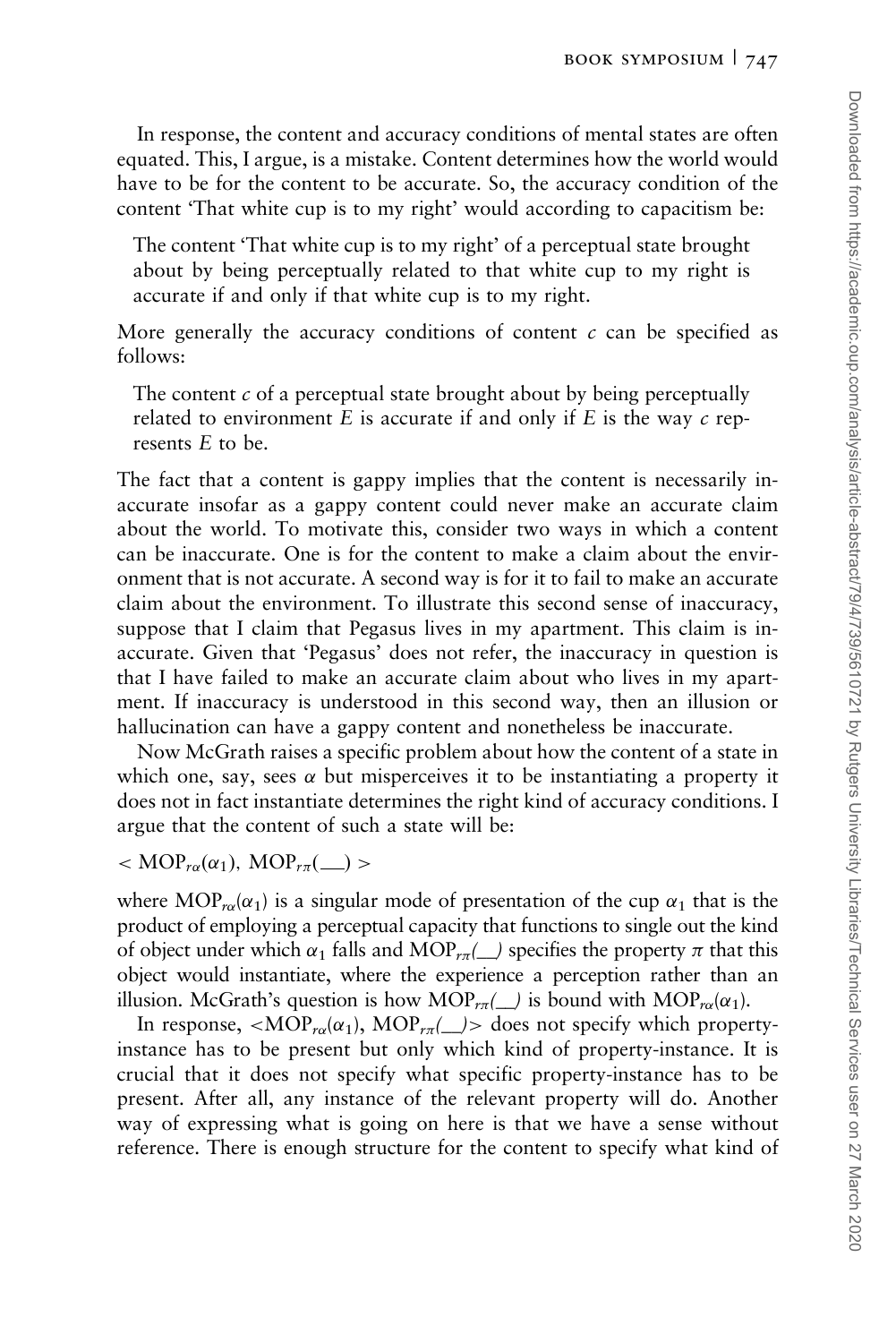In response, the content and accuracy conditions of mental states are often equated. This, I argue, is a mistake. Content determines how the world would have to be for the content to be accurate. So, the accuracy condition of the content 'That white cup is to my right' would according to capacitism be:

The content 'That white cup is to my right' of a perceptual state brought about by being perceptually related to that white cup to my right is accurate if and only if that white cup is to my right.

More generally the accuracy conditions of content  $c$  can be specified as follows:

The content  $c$  of a perceptual state brought about by being perceptually related to environment E is accurate if and only if E is the way  $c$  represents E to be.

The fact that a content is gappy implies that the content is necessarily inaccurate insofar as a gappy content could never make an accurate claim about the world. To motivate this, consider two ways in which a content can be inaccurate. One is for the content to make a claim about the environment that is not accurate. A second way is for it to fail to make an accurate claim about the environment. To illustrate this second sense of inaccuracy, suppose that I claim that Pegasus lives in my apartment. This claim is inaccurate. Given that 'Pegasus' does not refer, the inaccuracy in question is that I have failed to make an accurate claim about who lives in my apartment. If inaccuracy is understood in this second way, then an illusion or hallucination can have a gappy content and nonetheless be inaccurate.

Now McGrath raises a specific problem about how the content of a state in which one, say, sees  $\alpha$  but misperceives it to be instantiating a property it does not in fact instantiate determines the right kind of accuracy conditions. I argue that the content of such a state will be:

 $<\text{MOP}_{r\alpha}(\alpha_1), \text{MOP}_{r\pi}(\_\_)>$ 

where  $\text{MOP}_{r\alpha}(\alpha_1)$  is a singular mode of presentation of the cup  $\alpha_1$  that is the product of employing a perceptual capacity that functions to single out the kind of object under which  $\alpha_1$  falls and MOP<sub>r $\pi(\_)$ </sub> specifies the property  $\pi$  that this object would instantiate, where the experience a perception rather than an illusion. McGrath's question is how  $\text{MOP}_{r\pi}(\underline{\hspace{0.3cm}})$  is bound with  $\text{MOP}_{r\alpha}(\alpha_1)$ .

In response,  $<\text{MOP}_{r\alpha}(\alpha_1)$ ,  $\text{MOP}_{r\pi}(\_\_)>$  does not specify which propertyinstance has to be present but only which kind of property-instance. It is crucial that it does not specify what specific property-instance has to be present. After all, any instance of the relevant property will do. Another way of expressing what is going on here is that we have a sense without reference. There is enough structure for the content to specify what kind of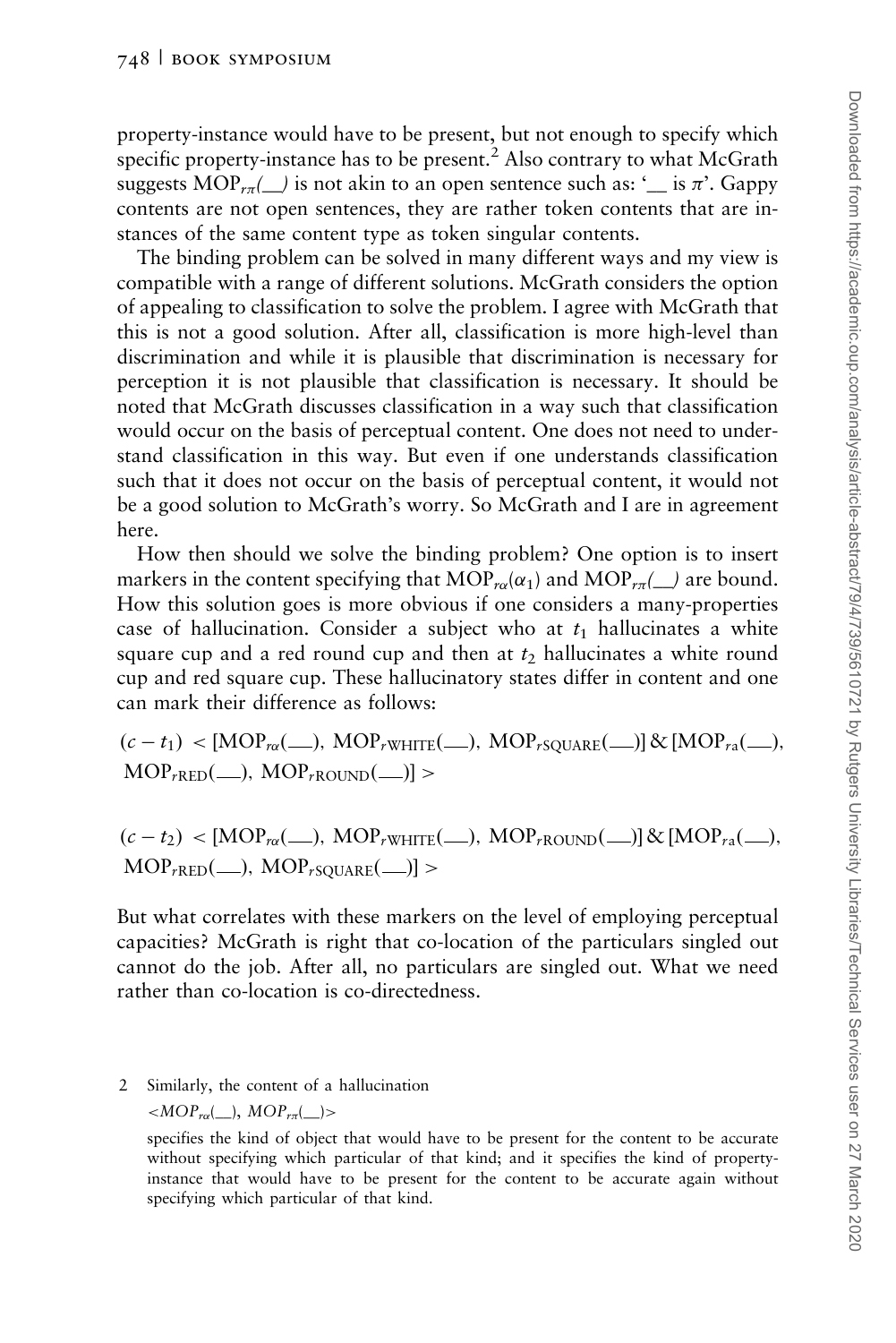property-instance would have to be present, but not enough to specify which specific property-instance has to be present.<sup>2</sup> Also contrary to what McGrath suggests MOP<sub>r $\pi$ </sub>( ) is not akin to an open sentence such as: '\_\_ is  $\pi$ '. Gappy contents are not open sentences, they are rather token contents that are instances of the same content type as token singular contents.

The binding problem can be solved in many different ways and my view is compatible with a range of different solutions. McGrath considers the option of appealing to classification to solve the problem. I agree with McGrath that this is not a good solution. After all, classification is more high-level than discrimination and while it is plausible that discrimination is necessary for perception it is not plausible that classification is necessary. It should be noted that McGrath discusses classification in a way such that classification would occur on the basis of perceptual content. One does not need to understand classification in this way. But even if one understands classification such that it does not occur on the basis of perceptual content, it would not be a good solution to McGrath's worry. So McGrath and I are in agreement here.

How then should we solve the binding problem? One option is to insert markers in the content specifying that  $\mathrm{MOP}_{r\alpha}(\alpha_1)$  and  $\mathrm{MOP}_{r\pi}(\_\_\)$  are bound. How this solution goes is more obvious if one considers a many-properties case of hallucination. Consider a subject who at  $t_1$  hallucinates a white square cup and a red round cup and then at  $t_2$  hallucinates a white round cup and red square cup. These hallucinatory states differ in content and one can mark their difference as follows:

 $(c-t_1) < [MOP_{r\alpha}(\_\_), MOP_{rWHITE}(\_\_), MOP_{rSQUARE}(\_\_)] \& [MOP_{r\alpha}(\_\_),$  $MOP_{rRED}(\_\_), MOP_{rROUND}(\_\_)] >$ 

 $(c - t_2) < [MOP_{r\alpha}(\_\_), MOP_{rWHITE}(\_\_), MOP_{rROUND}(\_\_)] \& [MOP_{r\alpha}(\_\_),$  $MOP_{rRED}(\_\_), MOP_{rSOLARE}(\_\_)] >$ 

But what correlates with these markers on the level of employing perceptual capacities? McGrath is right that co-location of the particulars singled out cannot do the job. After all, no particulars are singled out. What we need rather than co-location is co-directedness.

2 Similarly, the content of a hallucination

 $\langle MOP_{r\alpha}(\_\!\_), MOP_{r\pi}(\_\!\_)\rangle$ 

specifies the kind of object that would have to be present for the content to be accurate without specifying which particular of that kind; and it specifies the kind of propertyinstance that would have to be present for the content to be accurate again without specifying which particular of that kind.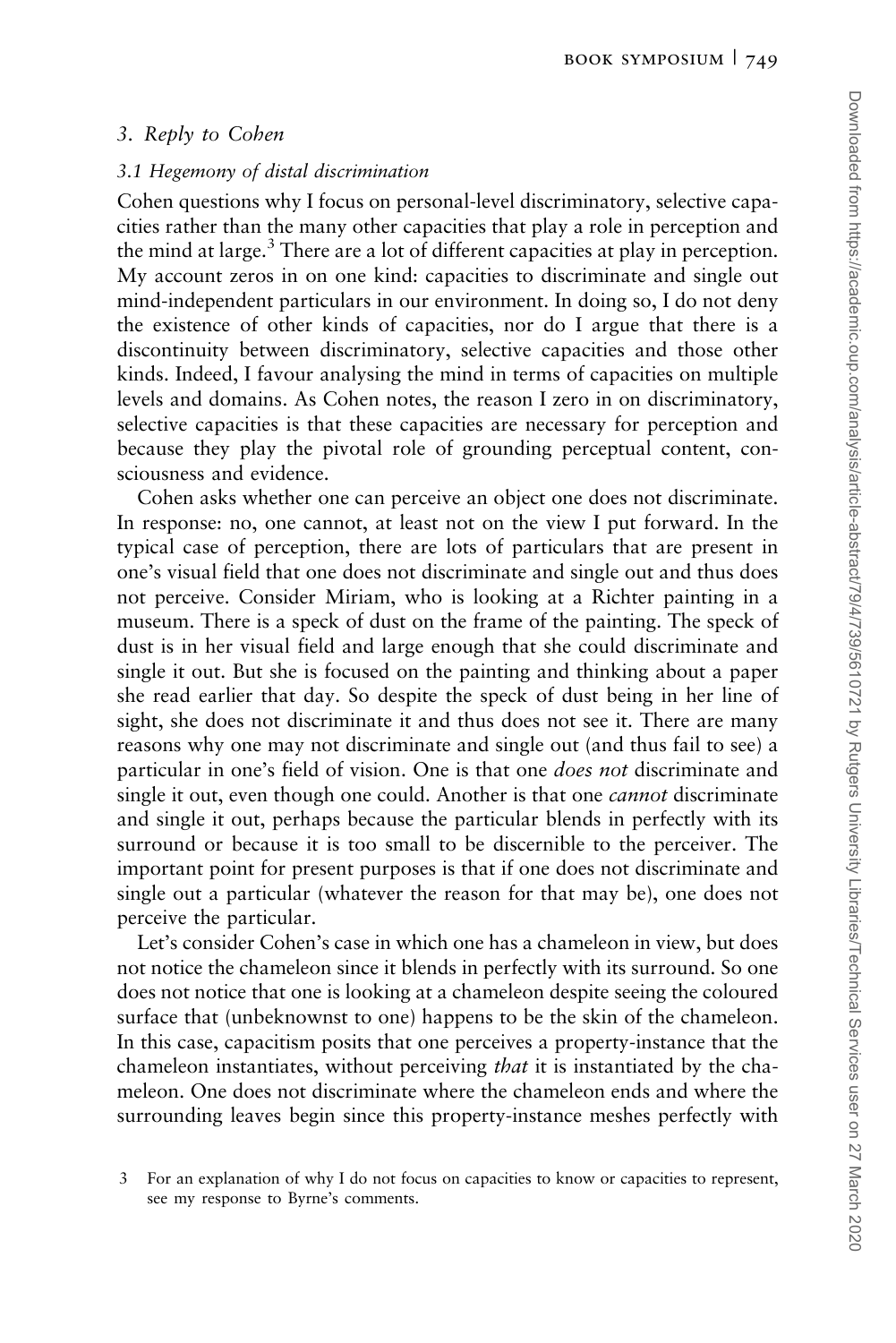# 3.1 Hegemony of distal discrimination Cohen questions why I focus on personal-level discriminatory, selective capacities rather than the many other capacities that play a role in perception and the mind at large.<sup>3</sup> There are a lot of different capacities at play in perception. My account zeros in on one kind: capacities to discriminate and single out mind-independent particulars in our environment. In doing so, I do not deny the existence of other kinds of capacities, nor do I argue that there is a discontinuity between discriminatory, selective capacities and those other kinds. Indeed, I favour analysing the mind in terms of capacities on multiple levels and domains. As Cohen notes, the reason I zero in on discriminatory, selective capacities is that these capacities are necessary for perception and because they play the pivotal role of grounding perceptual content, con-Cohen asks whether one can perceive an object one does not discriminate.

3. Reply to Cohen

sciousness and evidence.

In response: no, one cannot, at least not on the view I put forward. In the typical case of perception, there are lots of particulars that are present in one's visual field that one does not discriminate and single out and thus does not perceive. Consider Miriam, who is looking at a Richter painting in a museum. There is a speck of dust on the frame of the painting. The speck of dust is in her visual field and large enough that she could discriminate and single it out. But she is focused on the painting and thinking about a paper she read earlier that day. So despite the speck of dust being in her line of sight, she does not discriminate it and thus does not see it. There are many reasons why one may not discriminate and single out (and thus fail to see) a particular in one's field of vision. One is that one does not discriminate and single it out, even though one could. Another is that one *cannot* discriminate and single it out, perhaps because the particular blends in perfectly with its surround or because it is too small to be discernible to the perceiver. The important point for present purposes is that if one does not discriminate and single out a particular (whatever the reason for that may be), one does not perceive the particular.

Let's consider Cohen's case in which one has a chameleon in view, but does not notice the chameleon since it blends in perfectly with its surround. So one does not notice that one is looking at a chameleon despite seeing the coloured surface that (unbeknownst to one) happens to be the skin of the chameleon. In this case, capacitism posits that one perceives a property-instance that the chameleon instantiates, without perceiving that it is instantiated by the chameleon. One does not discriminate where the chameleon ends and where the surrounding leaves begin since this property-instance meshes perfectly with

<sup>3</sup> For an explanation of why I do not focus on capacities to know or capacities to represent, see my response to Byrne's comments.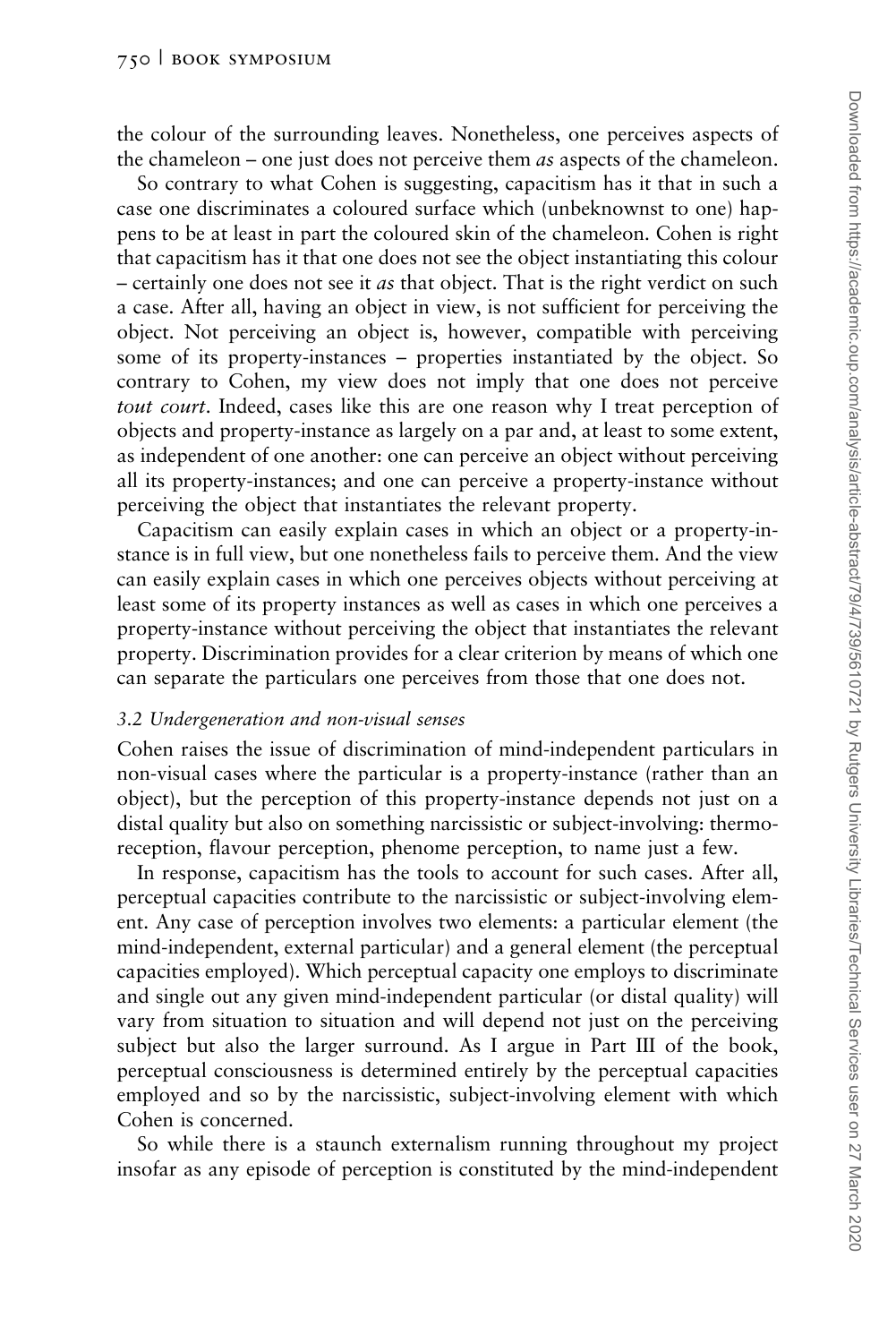the colour of the surrounding leaves. Nonetheless, one perceives aspects of the chameleon – one just does not perceive them  $as$  aspects of the chameleon.

So contrary to what Cohen is suggesting, capacitism has it that in such a case one discriminates a coloured surface which (unbeknownst to one) happens to be at least in part the coloured skin of the chameleon. Cohen is right that capacitism has it that one does not see the object instantiating this colour – certainly one does not see it *as* that object. That is the right verdict on such a case. After all, having an object in view, is not sufficient for perceiving the object. Not perceiving an object is, however, compatible with perceiving some of its property-instances – properties instantiated by the object. So contrary to Cohen, my view does not imply that one does not perceive tout court. Indeed, cases like this are one reason why I treat perception of objects and property-instance as largely on a par and, at least to some extent, as independent of one another: one can perceive an object without perceiving all its property-instances; and one can perceive a property-instance without perceiving the object that instantiates the relevant property.

Capacitism can easily explain cases in which an object or a property-instance is in full view, but one nonetheless fails to perceive them. And the view can easily explain cases in which one perceives objects without perceiving at least some of its property instances as well as cases in which one perceives a property-instance without perceiving the object that instantiates the relevant property. Discrimination provides for a clear criterion by means of which one can separate the particulars one perceives from those that one does not.

#### 3.2 Undergeneration and non-visual senses

Cohen raises the issue of discrimination of mind-independent particulars in non-visual cases where the particular is a property-instance (rather than an object), but the perception of this property-instance depends not just on a distal quality but also on something narcissistic or subject-involving: thermoreception, flavour perception, phenome perception, to name just a few.

In response, capacitism has the tools to account for such cases. After all, perceptual capacities contribute to the narcissistic or subject-involving element. Any case of perception involves two elements: a particular element (the mind-independent, external particular) and a general element (the perceptual capacities employed). Which perceptual capacity one employs to discriminate and single out any given mind-independent particular (or distal quality) will vary from situation to situation and will depend not just on the perceiving subject but also the larger surround. As I argue in Part III of the book, perceptual consciousness is determined entirely by the perceptual capacities employed and so by the narcissistic, subject-involving element with which Cohen is concerned.

So while there is a staunch externalism running throughout my project insofar as any episode of perception is constituted by the mind-independent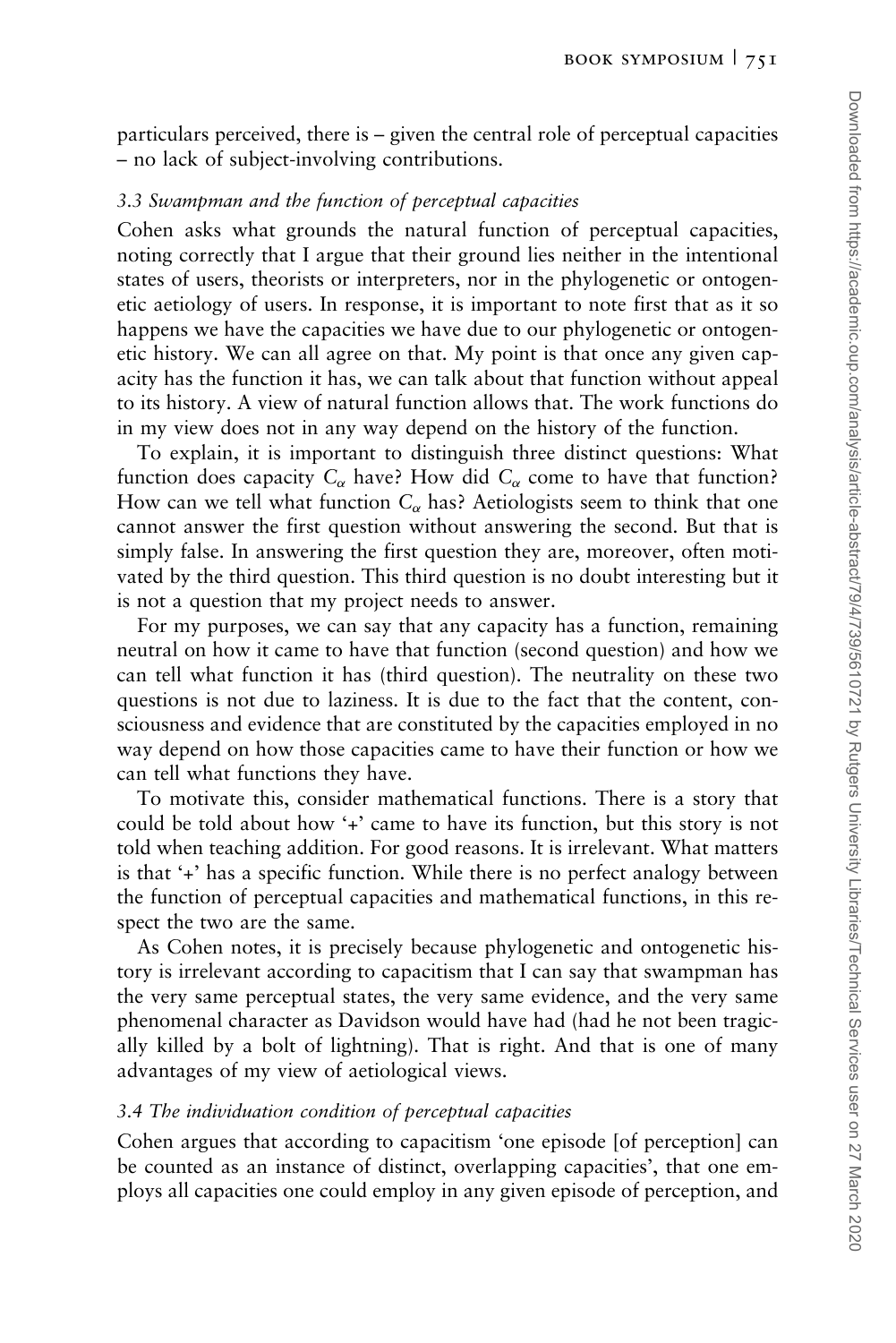particulars perceived, there is – given the central role of perceptual capacities – no lack of subject-involving contributions.

#### 3.3 Swampman and the function of perceptual capacities

Cohen asks what grounds the natural function of perceptual capacities, noting correctly that I argue that their ground lies neither in the intentional states of users, theorists or interpreters, nor in the phylogenetic or ontogenetic aetiology of users. In response, it is important to note first that as it so happens we have the capacities we have due to our phylogenetic or ontogenetic history. We can all agree on that. My point is that once any given capacity has the function it has, we can talk about that function without appeal to its history. A view of natural function allows that. The work functions do in my view does not in any way depend on the history of the function.

To explain, it is important to distinguish three distinct questions: What function does capacity  $C_{\alpha}$  have? How did  $C_{\alpha}$  come to have that function? How can we tell what function  $C_{\alpha}$  has? Aetiologists seem to think that one cannot answer the first question without answering the second. But that is simply false. In answering the first question they are, moreover, often motivated by the third question. This third question is no doubt interesting but it is not a question that my project needs to answer.

For my purposes, we can say that any capacity has a function, remaining neutral on how it came to have that function (second question) and how we can tell what function it has (third question). The neutrality on these two questions is not due to laziness. It is due to the fact that the content, consciousness and evidence that are constituted by the capacities employed in no way depend on how those capacities came to have their function or how we can tell what functions they have.

To motivate this, consider mathematical functions. There is a story that could be told about how '+' came to have its function, but this story is not told when teaching addition. For good reasons. It is irrelevant. What matters is that '+' has a specific function. While there is no perfect analogy between the function of perceptual capacities and mathematical functions, in this respect the two are the same.

As Cohen notes, it is precisely because phylogenetic and ontogenetic history is irrelevant according to capacitism that I can say that swampman has the very same perceptual states, the very same evidence, and the very same phenomenal character as Davidson would have had (had he not been tragically killed by a bolt of lightning). That is right. And that is one of many advantages of my view of aetiological views.

#### 3.4 The individuation condition of perceptual capacities

Cohen argues that according to capacitism 'one episode [of perception] can be counted as an instance of distinct, overlapping capacities', that one employs all capacities one could employ in any given episode of perception, and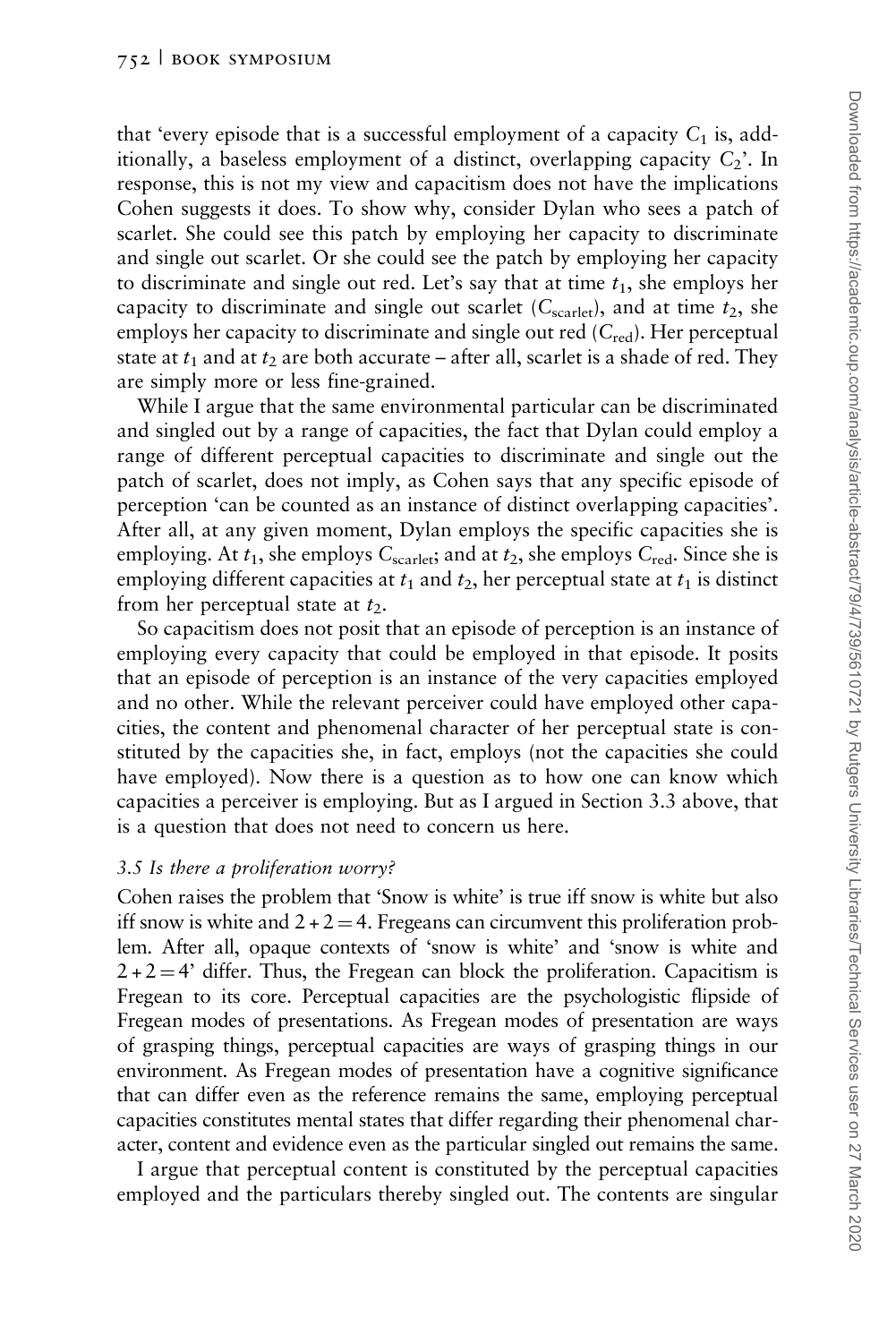that 'every episode that is a successful employment of a capacity  $C_1$  is, additionally, a baseless employment of a distinct, overlapping capacity  $C_2$ . In response, this is not my view and capacitism does not have the implications Cohen suggests it does. To show why, consider Dylan who sees a patch of scarlet. She could see this patch by employing her capacity to discriminate and single out scarlet. Or she could see the patch by employing her capacity to discriminate and single out red. Let's say that at time  $t_1$ , she employs her capacity to discriminate and single out scarlet  $(C_{\text{scatter}})$ , and at time  $t_2$ , she employs her capacity to discriminate and single out red  $(C_{\text{red}})$ . Her perceptual state at  $t_1$  and at  $t_2$  are both accurate – after all, scarlet is a shade of red. They are simply more or less fine-grained.

While I argue that the same environmental particular can be discriminated and singled out by a range of capacities, the fact that Dylan could employ a range of different perceptual capacities to discriminate and single out the patch of scarlet, does not imply, as Cohen says that any specific episode of perception 'can be counted as an instance of distinct overlapping capacities'. After all, at any given moment, Dylan employs the specific capacities she is employing. At  $t_1$ , she employs  $C_{\text{scarlet}}$ ; and at  $t_2$ , she employs  $C_{\text{red}}$ . Since she is employing different capacities at  $t_1$  and  $t_2$ , her perceptual state at  $t_1$  is distinct from her perceptual state at  $t_2$ .

So capacitism does not posit that an episode of perception is an instance of employing every capacity that could be employed in that episode. It posits that an episode of perception is an instance of the very capacities employed and no other. While the relevant perceiver could have employed other capacities, the content and phenomenal character of her perceptual state is constituted by the capacities she, in fact, employs (not the capacities she could have employed). Now there is a question as to how one can know which capacities a perceiver is employing. But as I argued in Section 3.3 above, that is a question that does not need to concern us here.

# 3.5 Is there a proliferation worry?

Cohen raises the problem that 'Snow is white' is true iff snow is white but also iff snow is white and  $2 + 2 = 4$ . Fregeans can circumvent this proliferation problem. After all, opaque contexts of 'snow is white' and 'snow is white and  $2+2=4$ ' differ. Thus, the Fregean can block the proliferation. Capacitism is Fregean to its core. Perceptual capacities are the psychologistic flipside of Fregean modes of presentations. As Fregean modes of presentation are ways of grasping things, perceptual capacities are ways of grasping things in our environment. As Fregean modes of presentation have a cognitive significance that can differ even as the reference remains the same, employing perceptual capacities constitutes mental states that differ regarding their phenomenal character, content and evidence even as the particular singled out remains the same.

I argue that perceptual content is constituted by the perceptual capacities employed and the particulars thereby singled out. The contents are singular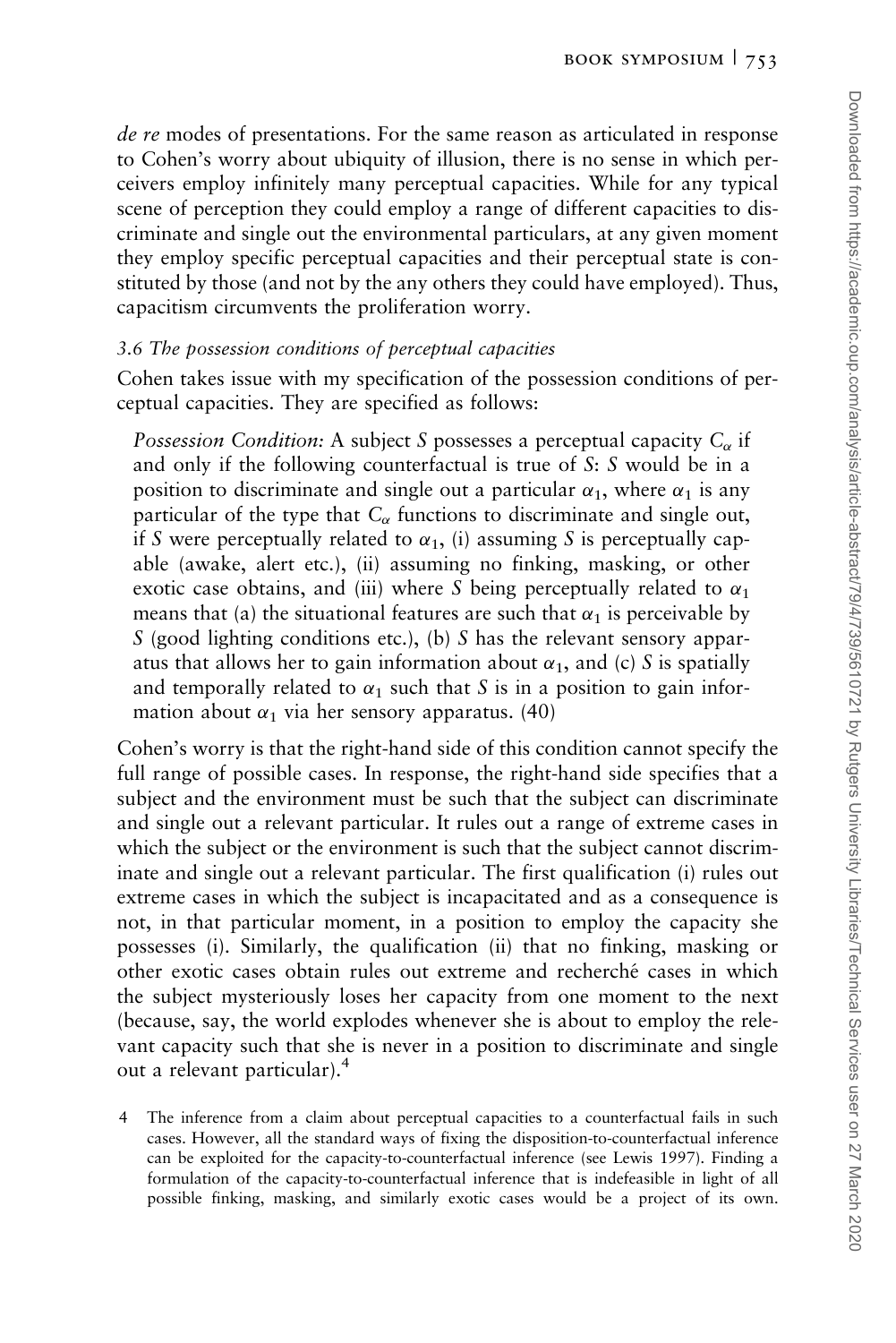de re modes of presentations. For the same reason as articulated in response to Cohen's worry about ubiquity of illusion, there is no sense in which perceivers employ infinitely many perceptual capacities. While for any typical scene of perception they could employ a range of different capacities to discriminate and single out the environmental particulars, at any given moment they employ specific perceptual capacities and their perceptual state is constituted by those (and not by the any others they could have employed). Thus, capacitism circumvents the proliferation worry.

# 3.6 The possession conditions of perceptual capacities

Cohen takes issue with my specification of the possession conditions of perceptual capacities. They are specified as follows:

Possession Condition: A subject S possesses a perceptual capacity  $C_\alpha$  if and only if the following counterfactual is true of S: S would be in a position to discriminate and single out a particular  $\alpha_1$ , where  $\alpha_1$  is any particular of the type that  $C_{\alpha}$  functions to discriminate and single out, if S were perceptually related to  $\alpha_1$ , (i) assuming S is perceptually capable (awake, alert etc.), (ii) assuming no finking, masking, or other exotic case obtains, and (iii) where S being perceptually related to  $\alpha_1$ means that (a) the situational features are such that  $\alpha_1$  is perceivable by S (good lighting conditions etc.), (b) S has the relevant sensory apparatus that allows her to gain information about  $\alpha_1$ , and (c) S is spatially and temporally related to  $\alpha_1$  such that S is in a position to gain information about  $\alpha_1$  via her sensory apparatus. (40)

Cohen's worry is that the right-hand side of this condition cannot specify the full range of possible cases. In response, the right-hand side specifies that a subject and the environment must be such that the subject can discriminate and single out a relevant particular. It rules out a range of extreme cases in which the subject or the environment is such that the subject cannot discriminate and single out a relevant particular. The first qualification (i) rules out extreme cases in which the subject is incapacitated and as a consequence is not, in that particular moment, in a position to employ the capacity she possesses (i). Similarly, the qualification (ii) that no finking, masking or other exotic cases obtain rules out extreme and recherché cases in which the subject mysteriously loses her capacity from one moment to the next (because, say, the world explodes whenever she is about to employ the relevant capacity such that she is never in a position to discriminate and single out a relevant particular).<sup>4</sup>

<sup>4</sup> The inference from a claim about perceptual capacities to a counterfactual fails in such cases. However, all the standard ways of fixing the disposition-to-counterfactual inference can be exploited for the capacity-to-counterfactual inference (see [Lewis 1997](#page-15-0)). Finding a formulation of the capacity-to-counterfactual inference that is indefeasible in light of all possible finking, masking, and similarly exotic cases would be a project of its own.